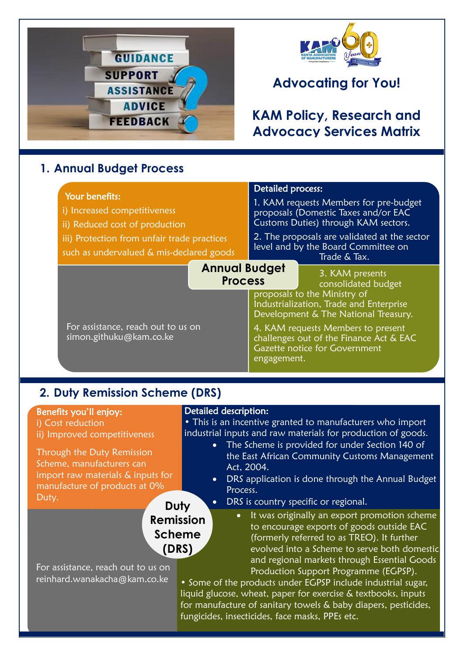

## **1. Annual Budget Process**

## Your benefits:

- i) Increased competitiveness
- ii) Reduced cost of production
- iii) Protection from unfair trade practices
- such as undervalued & mis-declared goods

# **Advocating for You!**

## **KAM Policy, Research and Advocacy Services Matrix**

### Detailed process:

1. KAM requests Members for pre-budget proposals (Domestic Taxes and/or EAC Customs Duties) through KAM sectors.

2. The proposals are validated at the sector level and by the Board Committee on Trade & Tax.

### **Annual Budget Process**

3. KAM presents consolidated budget proposals to the Ministry of

Industrialization, Trade and Enterprise Development & The National Treasury.

4. KAM requests Members to present challenges out of the Finance Act & EAC Gazette notice for Government engagement.

## **2. Duty Remission Scheme (DRS)**

For assistance, reach out to us on

simon.githuku@kam.co.ke

## Benefits you'll enjoy:

i) Cost reduction ii) Improved competitiveness

Through the Duty Remission Scheme, manufacturers can import raw materials & inputs for manufacture of products at 0% Duty. **Duty** 

## Detailed description:

• This is an incentive granted to manufacturers who import industrial inputs and raw materials for production of goods.

- The Scheme is provided for under Section 140 of the East African Community Customs Management Act, 2004.
- DRS application is done through the Annual Budget Process.

Production Support Programme (EGPSP).

## • DRS is country specific or regional.

#### It was originally an export promotion scheme to encourage exports of goods outside EAC (formerly referred to as TREO). It further evolved into a Scheme to serve both domestic and regional markets through Essential Goods **Remission Scheme (DRS)**

For assistance, reach out to us on reinhard.wanakacha@kam.co.ke

• Some of the products under EGPSP include industrial sugar, liquid glucose, wheat, paper for exercise & textbooks, inputs for manufacture of sanitary towels & baby diapers, pesticides, fungicides, insecticides, face masks, PPEs etc.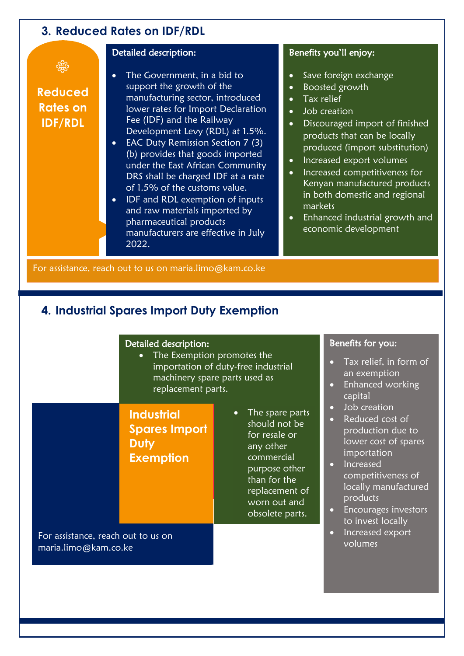## **3. Reduced Rates on IDF/RDL**

€

**Reduced Rates on IDF/RDL**

## Detailed description:

- The Government, in a bid to support the growth of the manufacturing sector, introduced lower rates for Import Declaration Fee (IDF) and the Railway Development Levy (RDL) at 1.5%.
- EAC Duty Remission Section 7 (3) (b) provides that goods imported under the East African Community DRS shall be charged IDF at a rate of 1.5% of the customs value.
- IDF and RDL exemption of inputs and raw materials imported by pharmaceutical products manufacturers are effective in July 2022.

### Benefits you'll enjoy:

- Save foreign exchange
- Boosted growth
- Tax relief
- Job creation
- Discouraged import of finished products that can be locally produced (import substitution)
- Increased export volumes
- Increased competitiveness for Kenyan manufactured products in both domestic and regional markets
- Enhanced industrial growth and economic development

For assistance, reach out to us on maria.limo@kam.co.ke

## **4. Industrial Spares Import Duty Exemption**

#### Detailed description:

• The Exemption promotes the importation of duty-free industrial machinery spare parts used as replacement parts.

**Industrial Spares Import Duty Exemption**

• The spare parts should not be for resale or any other commercial purpose other than for the replacement of worn out and obsolete parts.

For assistance, reach out to us on maria.limo@kam.co.ke

#### Benefits for you:

- Tax relief, in form of an exemption
- Enhanced working capital
- Job creation
- Reduced cost of production due to lower cost of spares importation
- Increased competitiveness of locally manufactured products
- Encourages investors to invest locally
- Increased export volumes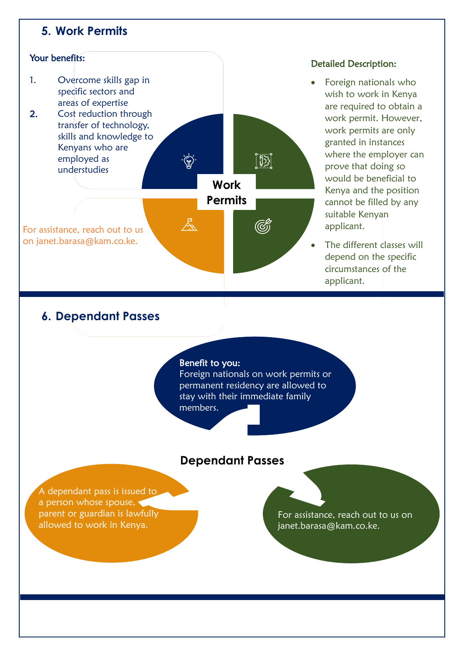## **5. Work Permits**



#### Detailed Description:

- Foreign nationals who wish to work in Kenya are required to obtain a work permit. However, work permits are only granted in instances where the employer can prove that doing so would be beneficial to Kenya and the position cannot be filled by any suitable Kenyan applicant.
- The different classes will depend on the specific circumstances of the applicant.

## **6. Dependant Passes**

#### Benefit to you:

Foreign nationals on work permits or permanent residency are allowed to stay with their immediate family members.

## **Dependant Passes**

A dependant pass is issued to a person whose spouse, parent or guardian is lawfully allowed to work in Kenya.

For assistance, reach out to us on janet.barasa@kam.co.ke.